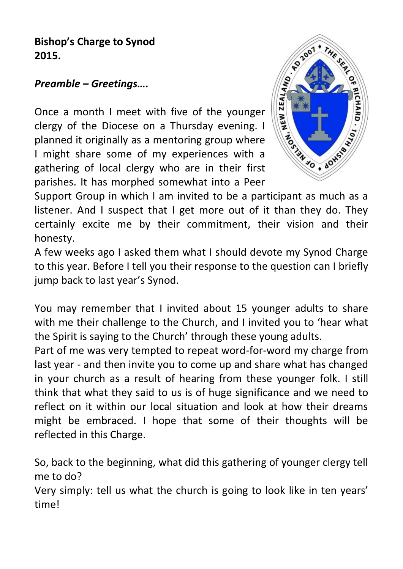# **Bishop's Charge to Synod 2015.**

## *Preamble – Greetings….*

**Preamble – Greetings....**<br>
Once a month I meet with five of the younger<br>
clergy of the Diocese on a Thursday evening. I<br>  $\begin{bmatrix} 1 & 0 & 0 \\ 0 & 1 & 0 \\ 0 & 0 & 0 \end{bmatrix}$ <br>  $\begin{bmatrix} 1 & 0 & 0 \\ 0 & 0 & 0 \\ 0 & 0 & 0 \end{bmatrix}$ <br>  $\begin{bmatrix} 1 & 0 & 0$ clergy of the Diocese on a Thursday evening. I planned it originally as a mentoring group where I might share some of my experiences with a gathering of local clergy who are in their first parishes. It has morphed somewhat into a Peer



Support Group in which I am invited to be a participant as much as a listener. And I suspect that I get more out of it than they do. They certainly excite me by their commitment, their vision and their honesty.

A few weeks ago I asked them what I should devote my Synod Charge to this year. Before I tell you their response to the question can I briefly jump back to last year's Synod.

You may remember that I invited about 15 younger adults to share with me their challenge to the Church, and I invited you to 'hear what the Spirit is saying to the Church' through these young adults.

Part of me was very tempted to repeat word-for-word my charge from last year - and then invite you to come up and share what has changed in your church as a result of hearing from these younger folk. I still think that what they said to us is of huge significance and we need to reflect on it within our local situation and look at how their dreams might be embraced. I hope that some of their thoughts will be reflected in this Charge.

So, back to the beginning, what did this gathering of younger clergy tell me to do?

Very simply: tell us what the church is going to look like in ten years' time!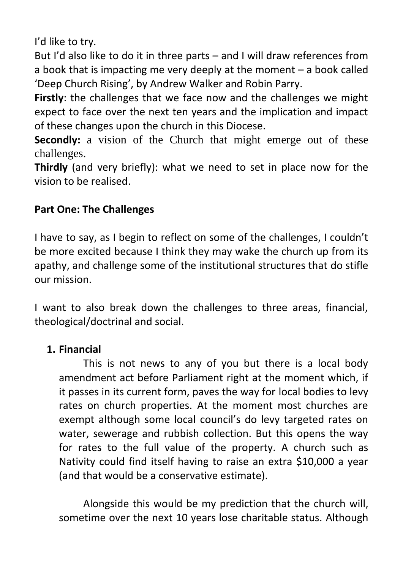I'd like to try.

But I'd also like to do it in three parts – and I will draw references from a book that is impacting me very deeply at the moment – a book called 'Deep Church Rising', by Andrew Walker and Robin Parry.

**Firstly**: the challenges that we face now and the challenges we might expect to face over the next ten years and the implication and impact of these changes upon the church in this Diocese.

**Secondly:** a vision of the Church that might emerge out of these challenges.

**Thirdly** (and very briefly): what we need to set in place now for the vision to be realised.

## **Part One: The Challenges**

I have to say, as I begin to reflect on some of the challenges, I couldn't be more excited because I think they may wake the church up from its apathy, and challenge some of the institutional structures that do stifle our mission.

I want to also break down the challenges to three areas, financial, theological/doctrinal and social.

## **1. Financial**

This is not news to any of you but there is a local body amendment act before Parliament right at the moment which, if it passes in its current form, paves the way for local bodies to levy rates on church properties. At the moment most churches are exempt although some local council's do levy targeted rates on water, sewerage and rubbish collection. But this opens the way for rates to the full value of the property. A church such as Nativity could find itself having to raise an extra \$10,000 a year (and that would be a conservative estimate).

Alongside this would be my prediction that the church will, sometime over the next 10 years lose charitable status. Although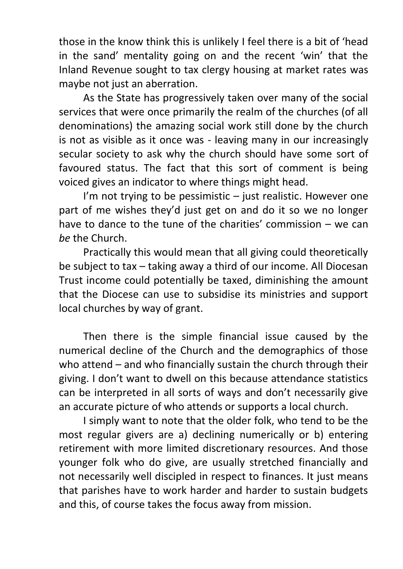those in the know think this is unlikely I feel there is a bit of 'head in the sand' mentality going on and the recent 'win' that the Inland Revenue sought to tax clergy housing at market rates was maybe not just an aberration.

As the State has progressively taken over many of the social services that were once primarily the realm of the churches (of all denominations) the amazing social work still done by the church is not as visible as it once was - leaving many in our increasingly secular society to ask why the church should have some sort of favoured status. The fact that this sort of comment is being voiced gives an indicator to where things might head.

I'm not trying to be pessimistic  $-$  just realistic. However one part of me wishes they'd just get on and do it so we no longer have to dance to the tune of the charities' commission – we can *be* the Church.

Practically this would mean that all giving could theoretically be subject to tax – taking away a third of our income. All Diocesan Trust income could potentially be taxed, diminishing the amount that the Diocese can use to subsidise its ministries and support local churches by way of grant.

Then there is the simple financial issue caused by the numerical decline of the Church and the demographics of those who attend – and who financially sustain the church through their giving. I don't want to dwell on this because attendance statistics can be interpreted in all sorts of ways and don't necessarily give an accurate picture of who attends or supports a local church.

I simply want to note that the older folk, who tend to be the most regular givers are a) declining numerically or b) entering retirement with more limited discretionary resources. And those younger folk who do give, are usually stretched financially and not necessarily well discipled in respect to finances. It just means that parishes have to work harder and harder to sustain budgets and this, of course takes the focus away from mission.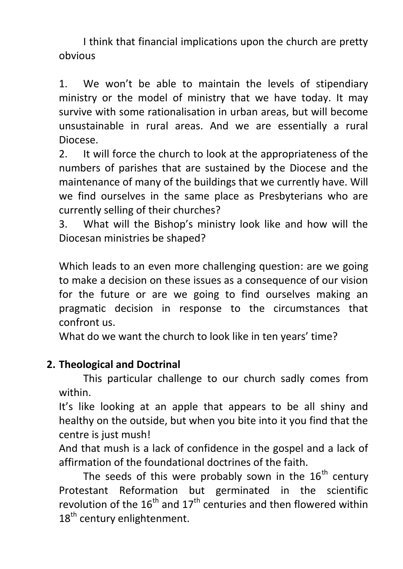I think that financial implications upon the church are pretty obvious

1. We won't be able to maintain the levels of stipendiary ministry or the model of ministry that we have today. It may survive with some rationalisation in urban areas, but will become unsustainable in rural areas. And we are essentially a rural Diocese.

2. It will force the church to look at the appropriateness of the numbers of parishes that are sustained by the Diocese and the maintenance of many of the buildings that we currently have. Will we find ourselves in the same place as Presbyterians who are currently selling of their churches?

3. What will the Bishop's ministry look like and how will the Diocesan ministries be shaped?

Which leads to an even more challenging question: are we going to make a decision on these issues as a consequence of our vision for the future or are we going to find ourselves making an pragmatic decision in response to the circumstances that confront us.

What do we want the church to look like in ten years' time?

# **2. Theological and Doctrinal**

This particular challenge to our church sadly comes from within.

It's like looking at an apple that appears to be all shiny and healthy on the outside, but when you bite into it you find that the centre is just mush!

And that mush is a lack of confidence in the gospel and a lack of affirmation of the foundational doctrines of the faith.

The seeds of this were probably sown in the  $16<sup>th</sup>$  century Protestant Reformation but germinated in the scientific revolution of the  $16<sup>th</sup>$  and  $17<sup>th</sup>$  centuries and then flowered within 18<sup>th</sup> century enlightenment.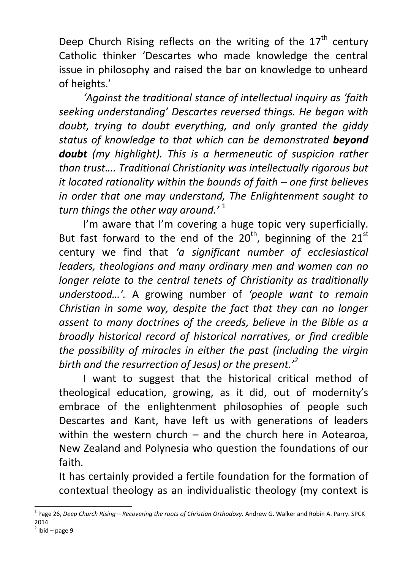Deep Church Rising reflects on the writing of the  $17<sup>th</sup>$  century Catholic thinker 'Descartes who made knowledge the central issue in philosophy and raised the bar on knowledge to unheard of heights.'

*'Against the traditional stance of intellectual inquiry as 'faith seeking understanding' Descartes reversed things. He began with doubt, trying to doubt everything, and only granted the giddy status of knowledge to that which can be demonstrated beyond doubt (my highlight). This is a hermeneutic of suspicion rather than trust…. Traditional Christianity was intellectually rigorous but it located rationality within the bounds of faith – one first believes in order that one may understand, The Enlightenment sought to turn things the other way around.'* <sup>1</sup>

I'm aware that I'm covering a huge topic very superficially. But fast forward to the end of the  $20<sup>th</sup>$ , beginning of the  $21<sup>st</sup>$ century we find that *'a significant number of ecclesiastical leaders, theologians and many ordinary men and women can no longer relate to the central tenets of Christianity as traditionally understood…'.* A growing number of *'people want to remain Christian in some way, despite the fact that they can no longer assent to many doctrines of the creeds, believe in the Bible as a broadly historical record of historical narratives, or find credible the possibility of miracles in either the past (including the virgin birth and the resurrection of Jesus) or the present.'<sup>2</sup>*

I want to suggest that the historical critical method of theological education, growing, as it did, out of modernity's embrace of the enlightenment philosophies of people such Descartes and Kant, have left us with generations of leaders within the western church  $-$  and the church here in Aotearoa, New Zealand and Polynesia who question the foundations of our faith.

It has certainly provided a fertile foundation for the formation of contextual theology as an individualistic theology (my context is

 $\overline{a}$ 

<sup>&</sup>lt;sup>1</sup> Page 26, *Deep Church Rising – Recovering the roots of Christian Orthodoxy. Andrew G. Walker and Robin A. Parry. SPCK* 2014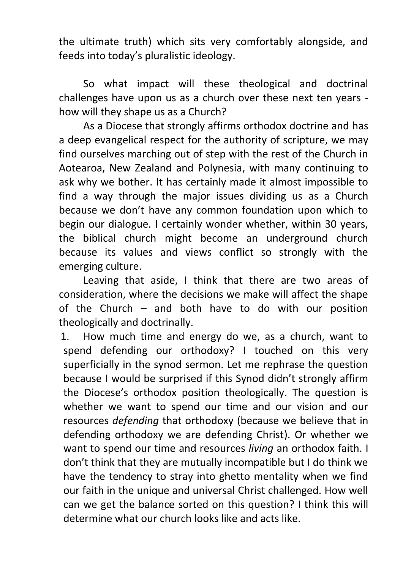the ultimate truth) which sits very comfortably alongside, and feeds into today's pluralistic ideology.

So what impact will these theological and doctrinal challenges have upon us as a church over these next ten years how will they shape us as a Church?

As a Diocese that strongly affirms orthodox doctrine and has a deep evangelical respect for the authority of scripture, we may find ourselves marching out of step with the rest of the Church in Aotearoa, New Zealand and Polynesia, with many continuing to ask why we bother. It has certainly made it almost impossible to find a way through the major issues dividing us as a Church because we don't have any common foundation upon which to begin our dialogue. I certainly wonder whether, within 30 years, the biblical church might become an underground church because its values and views conflict so strongly with the emerging culture.

Leaving that aside, I think that there are two areas of consideration, where the decisions we make will affect the shape of the Church – and both have to do with our position theologically and doctrinally.

1. How much time and energy do we, as a church, want to spend defending our orthodoxy? I touched on this very superficially in the synod sermon. Let me rephrase the question because I would be surprised if this Synod didn't strongly affirm the Diocese's orthodox position theologically. The question is whether we want to spend our time and our vision and our resources *defending* that orthodoxy (because we believe that in defending orthodoxy we are defending Christ). Or whether we want to spend our time and resources *living* an orthodox faith. I don't think that they are mutually incompatible but I do think we have the tendency to stray into ghetto mentality when we find our faith in the unique and universal Christ challenged. How well can we get the balance sorted on this question? I think this will determine what our church looks like and acts like.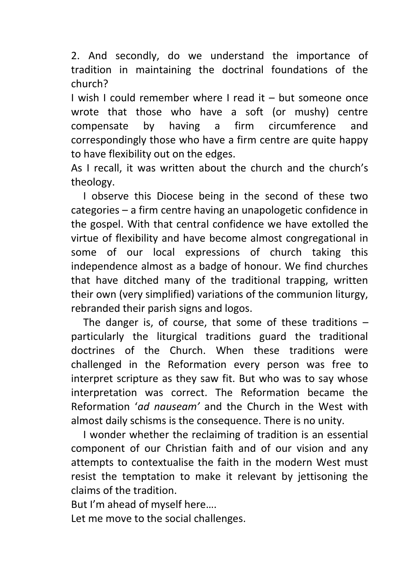2. And secondly, do we understand the importance of tradition in maintaining the doctrinal foundations of the church?

I wish I could remember where I read it – but someone once wrote that those who have a soft (or mushy) centre compensate by having a firm circumference and correspondingly those who have a firm centre are quite happy to have flexibility out on the edges.

As I recall, it was written about the church and the church's theology.

I observe this Diocese being in the second of these two categories – a firm centre having an unapologetic confidence in the gospel. With that central confidence we have extolled the virtue of flexibility and have become almost congregational in some of our local expressions of church taking this independence almost as a badge of honour. We find churches that have ditched many of the traditional trapping, written their own (very simplified) variations of the communion liturgy, rebranded their parish signs and logos.

The danger is, of course, that some of these traditions – particularly the liturgical traditions guard the traditional doctrines of the Church. When these traditions were challenged in the Reformation every person was free to interpret scripture as they saw fit. But who was to say whose interpretation was correct. The Reformation became the Reformation '*ad nauseam'* and the Church in the West with almost daily schisms is the consequence. There is no unity.

I wonder whether the reclaiming of tradition is an essential component of our Christian faith and of our vision and any attempts to contextualise the faith in the modern West must resist the temptation to make it relevant by jettisoning the claims of the tradition.

But I'm ahead of myself here….

Let me move to the social challenges.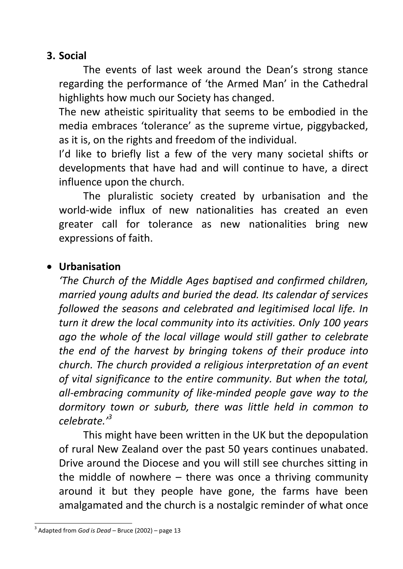## **3. Social**

The events of last week around the Dean's strong stance regarding the performance of 'the Armed Man' in the Cathedral highlights how much our Society has changed.

The new atheistic spirituality that seems to be embodied in the media embraces 'tolerance' as the supreme virtue, piggybacked, as it is, on the rights and freedom of the individual.

I'd like to briefly list a few of the very many societal shifts or developments that have had and will continue to have, a direct influence upon the church.

The pluralistic society created by urbanisation and the world-wide influx of new nationalities has created an even greater call for tolerance as new nationalities bring new expressions of faith.

# **Urbanisation**

*'The Church of the Middle Ages baptised and confirmed children, married young adults and buried the dead. Its calendar of services followed the seasons and celebrated and legitimised local life. In turn it drew the local community into its activities. Only 100 years ago the whole of the local village would still gather to celebrate the end of the harvest by bringing tokens of their produce into church. The church provided a religious interpretation of an event of vital significance to the entire community. But when the total, all-embracing community of like-minded people gave way to the dormitory town or suburb, there was little held in common to celebrate.'<sup>3</sup>*

This might have been written in the UK but the depopulation of rural New Zealand over the past 50 years continues unabated. Drive around the Diocese and you will still see churches sitting in the middle of nowhere – there was once a thriving community around it but they people have gone, the farms have been amalgamated and the church is a nostalgic reminder of what once

<sup>-</sup>3 Adapted from *God is Dead –* Bruce (2002) – page 13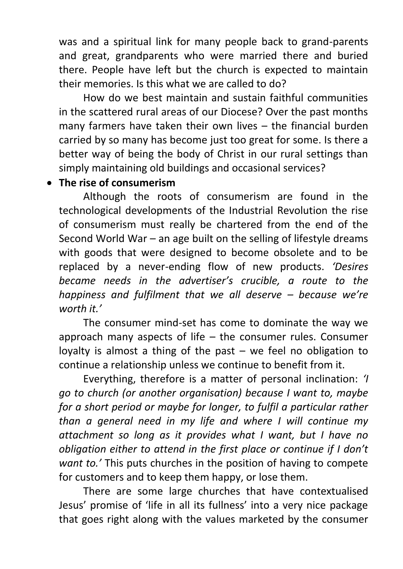was and a spiritual link for many people back to grand-parents and great, grandparents who were married there and buried there. People have left but the church is expected to maintain their memories. Is this what we are called to do?

How do we best maintain and sustain faithful communities in the scattered rural areas of our Diocese? Over the past months many farmers have taken their own lives – the financial burden carried by so many has become just too great for some. Is there a better way of being the body of Christ in our rural settings than simply maintaining old buildings and occasional services?

### **The rise of consumerism**

Although the roots of consumerism are found in the technological developments of the Industrial Revolution the rise of consumerism must really be chartered from the end of the Second World War – an age built on the selling of lifestyle dreams with goods that were designed to become obsolete and to be replaced by a never-ending flow of new products. *'Desires became needs in the advertiser's crucible, a route to the happiness and fulfilment that we all deserve – because we're worth it.'*

The consumer mind-set has come to dominate the way we approach many aspects of life – the consumer rules. Consumer loyalty is almost a thing of the past  $-$  we feel no obligation to continue a relationship unless we continue to benefit from it.

Everything, therefore is a matter of personal inclination: *'I go to church (or another organisation) because I want to, maybe for a short period or maybe for longer, to fulfil a particular rather than a general need in my life and where I will continue my attachment so long as it provides what I want, but I have no obligation either to attend in the first place or continue if I don't want to.'* This puts churches in the position of having to compete for customers and to keep them happy, or lose them.

There are some large churches that have contextualised Jesus' promise of 'life in all its fullness' into a very nice package that goes right along with the values marketed by the consumer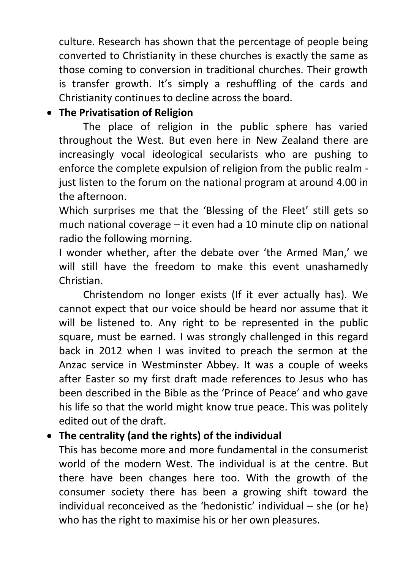culture. Research has shown that the percentage of people being converted to Christianity in these churches is exactly the same as those coming to conversion in traditional churches. Their growth is transfer growth. It's simply a reshuffling of the cards and Christianity continues to decline across the board.

## **The Privatisation of Religion**

The place of religion in the public sphere has varied throughout the West. But even here in New Zealand there are increasingly vocal ideological secularists who are pushing to enforce the complete expulsion of religion from the public realm just listen to the forum on the national program at around 4.00 in the afternoon.

Which surprises me that the 'Blessing of the Fleet' still gets so much national coverage – it even had a 10 minute clip on national radio the following morning.

I wonder whether, after the debate over 'the Armed Man,' we will still have the freedom to make this event unashamedly Christian.

Christendom no longer exists (If it ever actually has). We cannot expect that our voice should be heard nor assume that it will be listened to. Any right to be represented in the public square, must be earned. I was strongly challenged in this regard back in 2012 when I was invited to preach the sermon at the Anzac service in Westminster Abbey. It was a couple of weeks after Easter so my first draft made references to Jesus who has been described in the Bible as the 'Prince of Peace' and who gave his life so that the world might know true peace. This was politely edited out of the draft.

# **The centrality (and the rights) of the individual**

This has become more and more fundamental in the consumerist world of the modern West. The individual is at the centre. But there have been changes here too. With the growth of the consumer society there has been a growing shift toward the individual reconceived as the 'hedonistic' individual – she (or he) who has the right to maximise his or her own pleasures.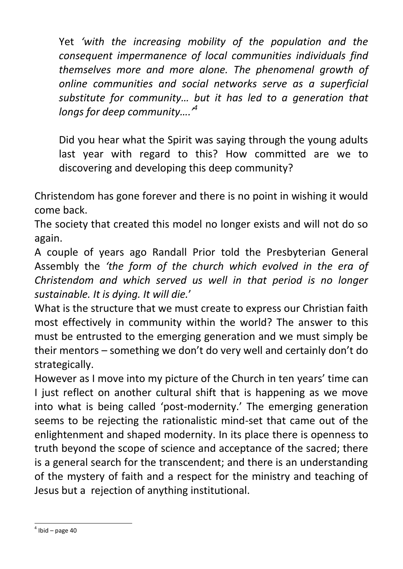Yet *'with the increasing mobility of the population and the consequent impermanence of local communities individuals find themselves more and more alone. The phenomenal growth of online communities and social networks serve as a superficial substitute for community… but it has led to a generation that longs for deep community….'<sup>4</sup>*

Did you hear what the Spirit was saying through the young adults last year with regard to this? How committed are we to discovering and developing this deep community?

Christendom has gone forever and there is no point in wishing it would come back.

The society that created this model no longer exists and will not do so again.

A couple of years ago Randall Prior told the Presbyterian General Assembly the *'the form of the church which evolved in the era of Christendom and which served us well in that period is no longer sustainable. It is dying. It will die.*'

What is the structure that we must create to express our Christian faith most effectively in community within the world? The answer to this must be entrusted to the emerging generation and we must simply be their mentors – something we don't do very well and certainly don't do strategically.

However as I move into my picture of the Church in ten years' time can I just reflect on another cultural shift that is happening as we move into what is being called 'post-modernity.' The emerging generation seems to be rejecting the rationalistic mind-set that came out of the enlightenment and shaped modernity. In its place there is openness to truth beyond the scope of science and acceptance of the sacred; there is a general search for the transcendent; and there is an understanding of the mystery of faith and a respect for the ministry and teaching of Jesus but a rejection of anything institutional.

<sup>-</sup> $<sup>4</sup>$  Ibid – page 40</sup>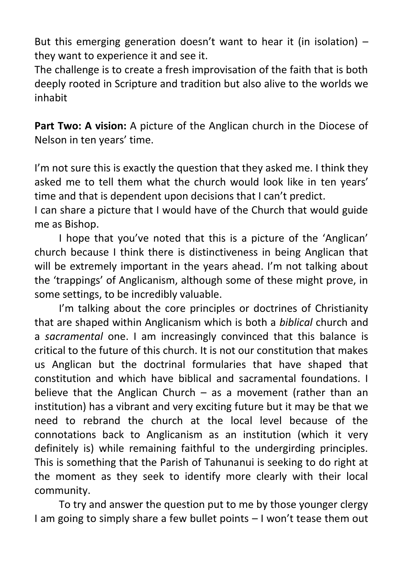But this emerging generation doesn't want to hear it (in isolation)  $$ they want to experience it and see it.

The challenge is to create a fresh improvisation of the faith that is both deeply rooted in Scripture and tradition but also alive to the worlds we inhabit

**Part Two: A vision:** A picture of the Anglican church in the Diocese of Nelson in ten years' time.

I'm not sure this is exactly the question that they asked me. I think they asked me to tell them what the church would look like in ten years' time and that is dependent upon decisions that I can't predict.

I can share a picture that I would have of the Church that would guide me as Bishop.

I hope that you've noted that this is a picture of the 'Anglican' church because I think there is distinctiveness in being Anglican that will be extremely important in the years ahead. I'm not talking about the 'trappings' of Anglicanism, although some of these might prove, in some settings, to be incredibly valuable.

I'm talking about the core principles or doctrines of Christianity that are shaped within Anglicanism which is both a *biblical* church and a *sacramental* one. I am increasingly convinced that this balance is critical to the future of this church. It is not our constitution that makes us Anglican but the doctrinal formularies that have shaped that constitution and which have biblical and sacramental foundations. I believe that the Anglican Church  $-$  as a movement (rather than an institution) has a vibrant and very exciting future but it may be that we need to rebrand the church at the local level because of the connotations back to Anglicanism as an institution (which it very definitely is) while remaining faithful to the undergirding principles. This is something that the Parish of Tahunanui is seeking to do right at the moment as they seek to identify more clearly with their local community.

To try and answer the question put to me by those younger clergy I am going to simply share a few bullet points – I won't tease them out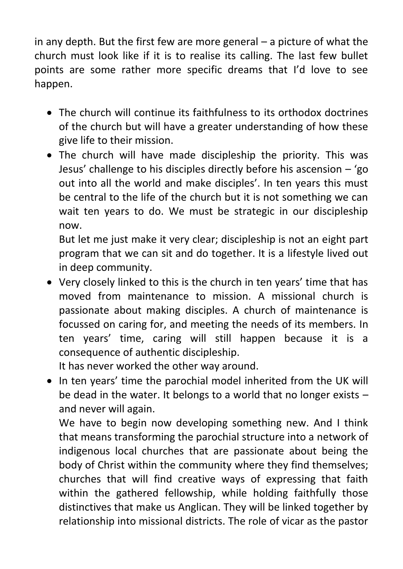in any depth. But the first few are more general – a picture of what the church must look like if it is to realise its calling. The last few bullet points are some rather more specific dreams that I'd love to see happen.

- The church will continue its faithfulness to its orthodox doctrines of the church but will have a greater understanding of how these give life to their mission.
- The church will have made discipleship the priority. This was Jesus' challenge to his disciples directly before his ascension – 'go out into all the world and make disciples'. In ten years this must be central to the life of the church but it is not something we can wait ten years to do. We must be strategic in our discipleship now.

But let me just make it very clear; discipleship is not an eight part program that we can sit and do together. It is a lifestyle lived out in deep community.

 Very closely linked to this is the church in ten years' time that has moved from maintenance to mission. A missional church is passionate about making disciples. A church of maintenance is focussed on caring for, and meeting the needs of its members. In ten years' time, caring will still happen because it is a consequence of authentic discipleship.

It has never worked the other way around.

• In ten years' time the parochial model inherited from the UK will be dead in the water. It belongs to a world that no longer exists – and never will again.

We have to begin now developing something new. And I think that means transforming the parochial structure into a network of indigenous local churches that are passionate about being the body of Christ within the community where they find themselves; churches that will find creative ways of expressing that faith within the gathered fellowship, while holding faithfully those distinctives that make us Anglican. They will be linked together by relationship into missional districts. The role of vicar as the pastor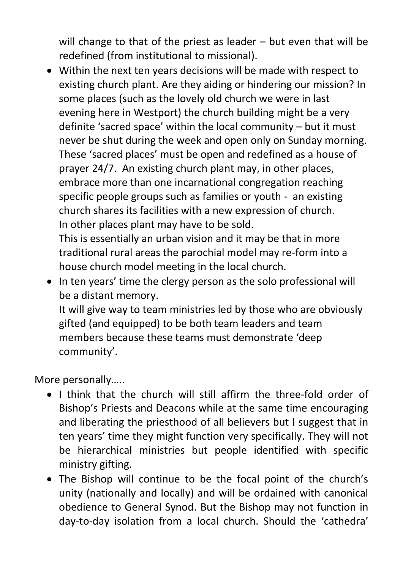will change to that of the priest as leader – but even that will be redefined (from institutional to missional).

 Within the next ten years decisions will be made with respect to existing church plant. Are they aiding or hindering our mission? In some places (such as the lovely old church we were in last evening here in Westport) the church building might be a very definite 'sacred space' within the local community – but it must never be shut during the week and open only on Sunday morning. These 'sacred places' must be open and redefined as a house of prayer 24/7. An existing church plant may, in other places, embrace more than one incarnational congregation reaching specific people groups such as families or youth - an existing church shares its facilities with a new expression of church. In other places plant may have to be sold.

This is essentially an urban vision and it may be that in more traditional rural areas the parochial model may re-form into a house church model meeting in the local church.

• In ten years' time the clergy person as the solo professional will be a distant memory.

It will give way to team ministries led by those who are obviously gifted (and equipped) to be both team leaders and team members because these teams must demonstrate 'deep community'.

More personally…..

- I think that the church will still affirm the three-fold order of Bishop's Priests and Deacons while at the same time encouraging and liberating the priesthood of all believers but I suggest that in ten years' time they might function very specifically. They will not be hierarchical ministries but people identified with specific ministry gifting.
- The Bishop will continue to be the focal point of the church's unity (nationally and locally) and will be ordained with canonical obedience to General Synod. But the Bishop may not function in day-to-day isolation from a local church. Should the 'cathedra'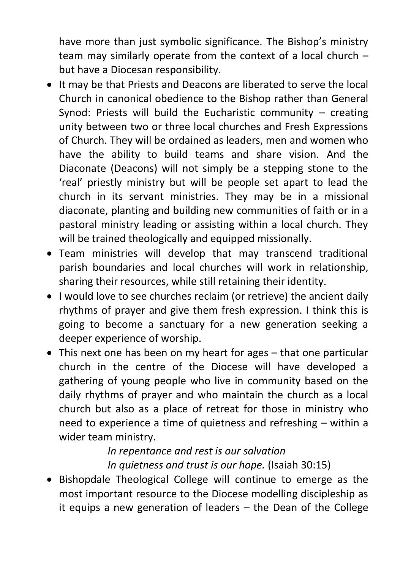have more than just symbolic significance. The Bishop's ministry team may similarly operate from the context of a local church – but have a Diocesan responsibility.

- It may be that Priests and Deacons are liberated to serve the local Church in canonical obedience to the Bishop rather than General Synod: Priests will build the Eucharistic community – creating unity between two or three local churches and Fresh Expressions of Church. They will be ordained as leaders, men and women who have the ability to build teams and share vision. And the Diaconate (Deacons) will not simply be a stepping stone to the 'real' priestly ministry but will be people set apart to lead the church in its servant ministries. They may be in a missional diaconate, planting and building new communities of faith or in a pastoral ministry leading or assisting within a local church. They will be trained theologically and equipped missionally.
- Team ministries will develop that may transcend traditional parish boundaries and local churches will work in relationship, sharing their resources, while still retaining their identity.
- I would love to see churches reclaim (or retrieve) the ancient daily rhythms of prayer and give them fresh expression. I think this is going to become a sanctuary for a new generation seeking a deeper experience of worship.
- This next one has been on my heart for ages that one particular church in the centre of the Diocese will have developed a gathering of young people who live in community based on the daily rhythms of prayer and who maintain the church as a local church but also as a place of retreat for those in ministry who need to experience a time of quietness and refreshing – within a wider team ministry.

#### *In repentance and rest is our salvation In quietness and trust is our hope.* (Isaiah 30:15)

• Bishopdale Theological College will continue to emerge as the most important resource to the Diocese modelling discipleship as it equips a new generation of leaders – the Dean of the College